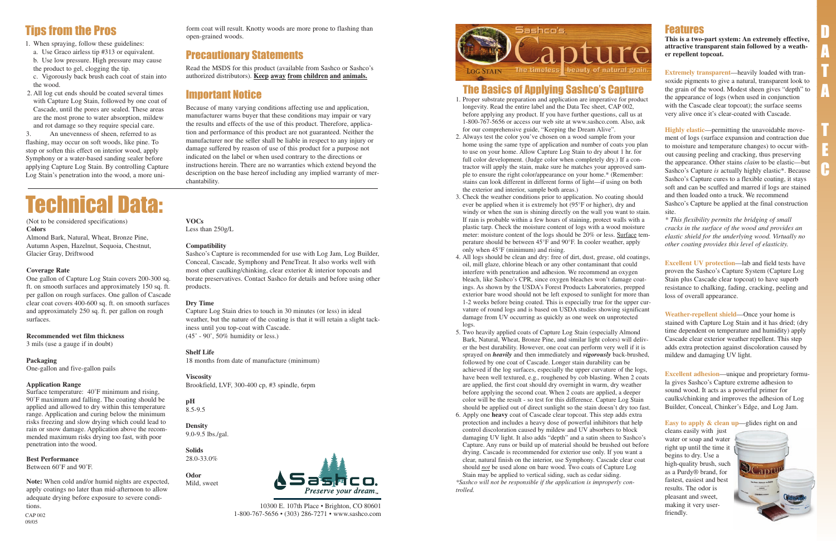## Features

**This is a two-part system: An extremely effective, attractive transparent stain followed by a weather repellent topcoat.**

**Extremely transparent**—heavily loaded with transoxide pigments to give a natural, transparent look to the grain of the wood. Modest sheen gives "depth" to the appearance of logs (when used in conjunction with the Cascade clear topcoat); the surface seems very alive once it's clear-coated with Cascade.

**Highly elastic**—permitting the unavoidable movement of logs (surface expansion and contraction due to moisture and temperature changes) to occur without causing peeling and cracking, thus preserving the appearance. Other stains *claim* to be elastic—but Sashco's Capture *is* actually highly elastic\*. Because Sashco's Capture cures to a flexible coating, it stays soft and can be scuffed and marred if logs are stained and then loaded onto a truck. We recommend Sashco's Capture be applied at the final construction site.

*\* This flexibility permits the bridging of small cracks in the surface of the wood and provides an elastic shield for the underlying wood. Virtually no other coating provides this level of elasticity.*

**Excellent UV protection**—lab and field tests have proven the Sashco's Capture System (Capture Log Stain plus Cascade clear topcoat) to have superb resistance to chalking, fading, cracking, peeling and loss of overall appearance.

**Weather-repellent shield**—Once your home is stained with Capture Log Stain and it has dried; (dry time dependent on temperature and humidity) apply Cascade clear exterior weather repellent. This step adds extra protection against discoloration caused by mildew and damaging UV light.

**Excellent adhesion**—unique and proprietary formula gives Sashco's Capture extreme adhesion to sound wood. It acts as a powerful primer for caulks/chinking and improves the adhesion of Log Builder, Conceal, Chinker's Edge, and Log Jam.

**Easy to apply & clean up**—glides right on and

cleans easily with just water or soap and water right up until the time it begins to dry. Use a high-quality brush, such as a Purdy® brand, for fastest, easiest and best results. The odor is pleasant and sweet, making it very userfriendly.



# Tips from the Pros

Capture Log Stain dries to touch in 30 minutes (or less) in ideal weather, but the nature of the coating is that it will retain a slight tackiness until you top-coat with Cascade.  $(45^\circ \cdot 90^\circ, 50\%$  humidity or less.)

- 1. When spraying, follow these guidelines:
- a. Use Graco airless tip #313 or equivalent.
- b. Use low pressure. High pressure may cause
- the product to gel, clogging the tip.
- c. Vigorously back brush each coat of stain into the wood.
- 2. All log cut ends should be coated several times with Capture Log Stain, followed by one coat of Cascade, until the pores are sealed. These areas are the most prone to water absorption, mildew and rot damage so they require special care.

**pH**  $8.5 - 9.5$ 

3. An unevenness of sheen, referred to as flashing, may occur on soft woods, like pine. To stop or soften this effect on interior wood, apply Symphony or a water-based sanding sealer before applying Capture Log Stain. By controlling Capture Log Stain's penetration into the wood, a more uni-

(Not to be considered specifications) **Colors**

Almond Bark, Natural, Wheat, Bronze Pine, Autumn Aspen, Hazelnut, Sequoia, Chestnut, Glacier Gray, Driftwood

#### **Coverage Rate**

One gallon of Capture Log Stain covers 200-300 sq. ft. on smooth surfaces and approximately 150 sq. ft. per gallon on rough surfaces. One gallon of Cascade clear coat covers 400-600 sq. ft. on smooth surfaces and approximately 250 sq. ft. per gallon on rough surfaces.

#### **Recommended wet film thickness**

3 mils (use a gauge if in doubt)

#### **Packaging**

One-gallon and five-gallon pails

#### **Application Range**

Surface temperature: 40˚F minimum and rising, 90˚F maximum and falling. The coating should be applied and allowed to dry within this temperature range. Application and curing below the minimum risks freezing and slow drying which could lead to rain or snow damage. Application above the recommended maximum risks drying too fast, with poor penetration into the wood.

#### **Best Performance**

Between 60˚F and 90˚F.

**Note:** When cold and/or humid nights are expected, apply coatings no later than mid-afternoon to allow adequate drying before exposure to severe conditions.

# Technical Data:



CAP 002 1-800-767-5656 • (303) 286-7271 • www.sashco.com



09/05

#### **VOCs**

Less than 250g/L

#### **Compatibility**

Sashco's Capture is recommended for use with Log Jam, Log Builder, Conceal, Cascade, Symphony and PeneTreat. It also works well with most other caulking/chinking, clear exterior & interior topcoats and borate preservatives. Contact Sashco for details and before using other products.

#### **Dry Time**

#### **Shelf Life**

18 months from date of manufacture (minimum)

#### **Viscosity**

Brookfield, LVF, 300-400 cp, #3 spindle, 6rpm

### **Density**

9.0-9.5 lbs./gal.

#### **Solids** 28.0-33.0%

**Odor**



form coat will result. Knotty woods are more prone to flashing than open-grained woods.

# Precautionary Statements

Read the MSDS for this product (available from Sashco or Sashco's authorized distributors). **Keep away from children and animals.**

# Important Notice

Because of many varying conditions affecting use and application, manufacturer warns buyer that these conditions may impair or vary the results and effects of the use of this product. Therefore, application and performance of this product are not guaranteed. Neither the manufacturer nor the seller shall be liable in respect to any injury or damage suffered by reason of use of this product for a purpose not indicated on the label or when used contrary to the directions or instructions herein. There are no warranties which extend beyond the description on the base hereof including any implied warranty of merchantability.

# The Basics of Applying Sashco's Capture

- 1. Proper substrate preparation and application are imperative for product longevity. Read the entire label and the Data Tec sheet, CAP 002, before applying any product. If you have further questions, call us at 1-800-767-5656 or access our web site at www.sashco.com. Also, ask for our comprehensive guide, "Keeping the Dream Alive".
- 2. Always test the color you've chosen on a wood sample from your home using the same type of application and number of coats you plan to use on your home. Allow Capture Log Stain to dry about 1 hr. for full color development. (Judge color when completely dry.) If a contractor will apply the stain, make sure he matches your approved sample to ensure the right color/appearance on your home.\* (Remember: stains can look different in different forms of light—if using on both the exterior and interior, sample both areas.)
- 3. Check the weather conditions prior to application. No coating should ever be applied when it is extremely hot (95°F or higher), dry and windy or when the sun is shining directly on the wall you want to stain. If rain is probable within a few hours of staining, protect walls with a plastic tarp. Check the moisture content of logs with a wood moisture meter: moisture content of the logs should be 20% or less. Surface temperature should be between 45°F and 90°F. In cooler weather, apply only when 45°F (minimum) and rising.
- 4. All logs should be clean and dry: free of dirt, dust, grease, old coatings, oil, mill glaze, chlorine bleach or any other contaminant that could interfere with penetration and adhesion. We recommend an oxygen bleach, like Sashco's CPR, since oxygen bleaches won't damage coatings. As shown by the USDA's Forest Products Laboratories, prepped exterior bare wood should not be left exposed to sunlight for more than 1-2 weeks before being coated. This is especially true for the upper curvature of round logs and is based on USDA studies showing significant damage from UV occurring as quickly as one week on unprotected logs.
- 5. Two heavily applied coats of Capture Log Stain (especially Almond Bark, Natural, Wheat, Bronze Pine, and similar light colors) will deliver the best durability. However, one coat can perform very well if it is sprayed on *heavily* and then immediately and *vigorously* back-brushed, followed by one coat of Cascade. Longer stain durability can be achieved if the log surfaces, especially the upper curvature of the logs, have been well textured, e.g., roughened by cob blasting. When 2 coats are applied, the first coat should dry overnight in warm, dry weather before applying the second coat. When 2 coats are applied, a deeper color will be the result - so test for this difference. Capture Log Stain should be applied out of direct sunlight so the stain doesn't dry too fast.
- 6. Apply one **heavy** coat of Cascade clear topcoat. This step adds extra protection and includes a heavy dose of powerful inhibitors that help control discoloration caused by mildew and UV absorbers to block damaging UV light. It also adds "depth" and a satin sheen to Sashco's Capture. Any runs or build up of material should be brushed out before drying. Cascade is recommended for exterior use only. If you want a clear, natural finish on the interior, use Symphony. Cascade clear coat should *not* be used alone on bare wood. Two coats of Capture Log Stain may be applied to vertical siding, such as cedar siding.

*\*Sashco will not be responsible if the application is improperly controlled.*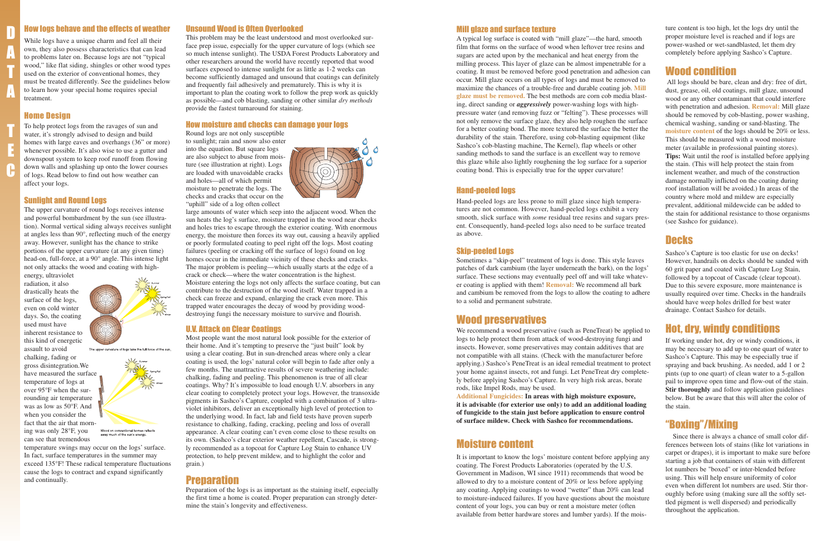#### How logs behave and the effects of weather

While logs have a unique charm and feel all their own, they also possess characteristics that can lead to problems later on. Because logs are not "typical wood," like flat siding, shingles or other wood types used on the exterior of conventional homes, they must be treated differently. See the guidelines below to learn how your special home requires special treatment.

#### Home Design

To help protect logs from the ravages of sun and water, it's strongly advised to design and build homes with large eaves and overhangs (36" or more) whenever possible. It's also wise to use a gutter and downspout system to keep roof runoff from flowing down walls and splashing up onto the lower courses of logs. Read below to find out how weather can affect your logs.

chalking, fading or gross disintegration.We have measured the surface temperature of logs at over 95°F when the surrounding air temperature was as low as 50°F. And when you consider the fact that the air that morn-



The upper curvature of logs take the full force of the sun.



#### Sunlight and Round Logs

The upper curvature of round logs receives intense and powerful bombardment by the sun (see illustration). Normal vertical siding always receives sunlight at angles less than 90°, reflecting much of the energy away. However, sunlight has the chance to strike portions of the upper curvature (at any given time) head-on, full-force, at a 90° angle. This intense light not only attacks the wood and coating with high-

energy, ultraviolet radiation, it also drastically heats the surface of the logs, even on cold winter days. So, the coating used must have inherent resistance to this kind of energetic assault to avoid

ing was only 28°F, you can see that tremendous

temperature swings may occur on the logs' surface. In fact, surface temperatures in the summer may exceed 135°F! These radical temperature fluctuations cause the logs to contract and expand significantly and continually.

#### Unsound Wood is Often Overlooked

This problem may be the least understood and most overlooked surface prep issue, especially for the upper curvature of logs (which see so much intense sunlight). The USDA Forest Products Laboratory and other researchers around the world have recently reported that wood surfaces exposed to intense sunlight for as little as 1-2 weeks can become sufficiently damaged and unsound that coatings can definitely and frequently fail adhesively and prematurely. This is why it is important to plan the coating work to follow the prep work as quickly as possible—and cob blasting, sanding or other similar *dry methods* provide the fastest turnaround for staining.

#### How moisture and checks can damage your logs

Round logs are not only susceptible to sunlight; rain and snow also enter into the equation. But square logs are also subject to abuse from moisture (see illustration at right). Logs are loaded with unavoidable cracks and holes—all of which permit moisture to penetrate the logs. The checks and cracks that occur on the "uphill" side of a log often collect



large amounts of water which seep into the adjacent wood. When the sun heats the log's surface, moisture trapped in the wood near checks and holes tries to escape through the exterior coating. With enormous energy, the moisture then forces its way out, causing a heavily applied or poorly formulated coating to peel right off the logs. Most coating failures (peeling or cracking off the surface of logs) found on log homes occur in the immediate vicinity of these checks and cracks. The major problem is peeling—which usually starts at the edge of a crack or check—where the water concentration is the highest. Moisture entering the logs not only affects the surface coating, but can contribute to the destruction of the wood itself. Water trapped in a check can freeze and expand, enlarging the crack even more. This trapped water encourages the decay of wood by providing wooddestroying fungi the necessary moisture to survive and flourish.

#### U.V. Attack on Clear Coatings

Most people want the most natural look possible for the exterior of their home. And it's tempting to preserve the "just built" look by using a clear coating. But in sun-drenched areas where only a clear coating is used, the logs' natural color will begin to fade after only a few months. The unattractive results of severe weathering include: chalking, fading and peeling. This phenomenon is true of all clear coatings. Why? It's impossible to load enough U.V. absorbers in any clear coating to completely protect your logs. However, the transoxide pigments in Sashco's Capture, coupled with a combination of 3 ultraviolet inhibitors, deliver an exceptionally high level of protection to the underlying wood. In fact, lab and field tests have proven superb resistance to chalking, fading, cracking, peeling and loss of overall appearance. A clear coating can't even come close to these results on its own. (Sashco's clear exterior weather repellent, Cascade, is strongly recommended as a topcoat for Capture Log Stain to enhance UV protection, to help prevent mildew, and to highlight the color and grain.)

#### Preparation

Preparation of the logs is as important as the staining itself, especially the first time a home is coated. Proper preparation can strongly determine the stain's longevity and effectiveness.

#### Mill glaze and surface texture

A typical log surface is coated with "mill glaze"—the hard, smooth film that forms on the surface of wood when leftover tree resins and sugars are acted upon by the mechanical and heat energy from the milling process. This layer of glaze can be almost impenetrable for a coating. It must be removed before good penetration and adhesion can occur. Mill glaze occurs on all types of logs and must be removed to maximize the chances of a trouble-free and durable coating job. **Mill glaze must be removed.** The best methods are corn cob media blasting, direct sanding or *aggressively* power-washing logs with highpressure water (and removing fuzz or "felting"). These processes will not only remove the surface glaze, they also help roughen the surface for a better coating bond. The more textured the surface the better the durability of the stain. Therefore, using cob-blasting equipment (like Sashco's cob-blasting machine, The Kernel), flap wheels or other sanding methods to sand the surface is an excellent way to remove this glaze while also lightly roughening the log surface for a superior coating bond. This is especially true for the upper curvature!

#### Hand-peeled logs

Hand-peeled logs are less prone to mill glaze since high temperatures are not common. However, hand-peeled logs exhibit a very smooth, slick surface with *some* residual tree resins and sugars present. Consequently, hand-peeled logs also need to be surface treated as above.

#### Skip-peeled Logs

Sometimes a "skip-peel" treatment of logs is done. This style leaves patches of dark cambium (the layer underneath the bark), on the logs' surface. These sections may eventually peel off and will take whatever coating is applied with them! **Removal:** We recommend all bark and cambium be removed from the logs to allow the coating to adhere to a solid and permanent substrate.

## Wood preservatives

We recommend a wood preservative (such as PeneTreat) be applied to logs to help protect them from attack of wood-destroying fungi and insects. However, some preservatives may contain additives that are not compatible with all stains. (Check with the manufacturer before applying.) Sashco's PeneTreat is an ideal remedial treatment to protect your home against insects, rot and fungi. Let PeneTreat dry completely before applying Sashco's Capture. In very high risk areas, borate rods, like Impel Rods, may be used.

**Additional Fungicides: In areas with high moisture exposure, it is advisable (for exterior use only) to add an additional loading of fungicide to the stain just before application to ensure control of surface mildew. Check with Sashco for recommendations.**

#### Moisture content

It is important to know the logs' moisture content before applying any coating. The Forest Products Laboratories (operated by the U.S. Government in Madison, WI since 1911) recommends that wood be allowed to dry to a moisture content of 20% or less before applying any coating. Applying coatings to wood "wetter" than 20% can lead to moisture-induced failures. If you have questions about the moisture content of your logs, you can buy or rent a moisture meter (often available from better hardware stores and lumber yards). If the moisture content is too high, let the logs dry until the proper moisture level is reached and if logs are power-washed or wet-sandblasted, let them dry completely before applying Sashco's Capture.

## Wood condition

All logs should be bare, clean and dry: free of dirt, dust, grease, oil, old coatings, mill glaze, unsound wood or any other contaminant that could interfere with penetration and adhesion. **Removal:** Mill glaze should be removed by cob-blasting, power washing, chemical washing, sanding or sand-blasting. The **moisture content** of the logs should be 20% or less. This should be measured with a wood moisture meter (available in professional painting stores). **Tips:** Wait until the roof is installed before applying the stain. (This will help protect the stain from inclement weather, and much of the construction damage normally inflicted on the coating during roof installation will be avoided.) In areas of the country where mold and mildew are especially prevalent, additional mildewcide can be added to the stain for additional resistance to those organisms (see Sashco for guidance).

## **Decks**

Sashco's Capture is too elastic for use on decks! However, handrails on decks should be sanded with 60 grit paper and coated with Capture Log Stain, followed by a topcoat of Cascade (clear topcoat). Due to this severe exposure, more maintenance is usually required over time. Checks in the handrails should have weep holes drilled for best water drainage. Contact Sashco for details.

# Hot, dry, windy conditions

If working under hot, dry or windy conditions, it may be necessary to add up to one quart of water to Sashco's Capture. This may be especially true if spraying and back brushing. As needed, add 1 or 2 pints (up to one quart) of clean water to a 5-gallon pail to improve open time and flow-out of the stain. **Stir thoroughly** and follow application guidelines below. But be aware that this will alter the color of the stain.

# "Boxing"/Mixing

Since there is always a chance of small color differences between lots of stains (like lot variations in carpet or drapes), it is important to make sure before starting a job that containers of stain with different lot numbers be "boxed" or inter-blended before using. This will help ensure uniformity of color even when different lot numbers are used. Stir thoroughly before using (making sure all the softly settled pigment is well dispersed) and periodically throughout the application.

D

A

T

A

T

E

C